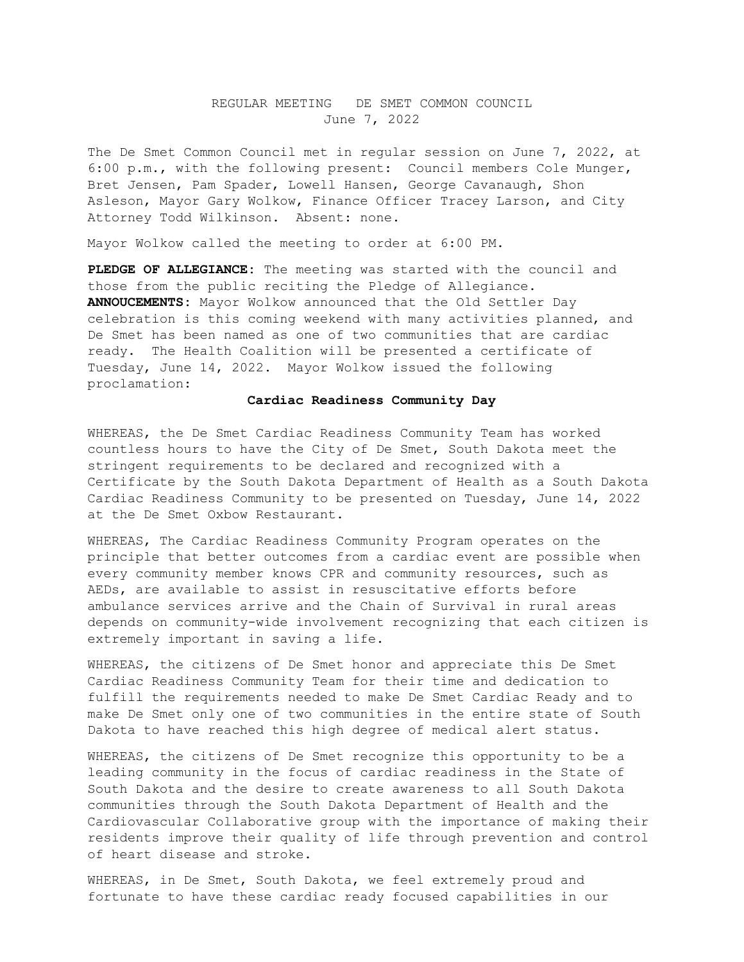### REGULAR MEETING DE SMET COMMON COUNCIL June 7, 2022

The De Smet Common Council met in regular session on June 7, 2022, at 6:00 p.m., with the following present: Council members Cole Munger, Bret Jensen, Pam Spader, Lowell Hansen, George Cavanaugh, Shon Asleson, Mayor Gary Wolkow, Finance Officer Tracey Larson, and City Attorney Todd Wilkinson. Absent: none.

Mayor Wolkow called the meeting to order at 6:00 PM.

**PLEDGE OF ALLEGIANCE:** The meeting was started with the council and those from the public reciting the Pledge of Allegiance. **ANNOUCEMENTS:** Mayor Wolkow announced that the Old Settler Day celebration is this coming weekend with many activities planned, and De Smet has been named as one of two communities that are cardiac ready. The Health Coalition will be presented a certificate of Tuesday, June 14, 2022. Mayor Wolkow issued the following proclamation:

#### **Cardiac Readiness Community Day**

WHEREAS, the De Smet Cardiac Readiness Community Team has worked countless hours to have the City of De Smet, South Dakota meet the stringent requirements to be declared and recognized with a Certificate by the South Dakota Department of Health as a South Dakota Cardiac Readiness Community to be presented on Tuesday, June 14, 2022 at the De Smet Oxbow Restaurant.

WHEREAS, The Cardiac Readiness Community Program operates on the principle that better outcomes from a cardiac event are possible when every community member knows CPR and community resources, such as AEDs, are available to assist in resuscitative efforts before ambulance services arrive and the Chain of Survival in rural areas depends on community-wide involvement recognizing that each citizen is extremely important in saving a life.

WHEREAS, the citizens of De Smet honor and appreciate this De Smet Cardiac Readiness Community Team for their time and dedication to fulfill the requirements needed to make De Smet Cardiac Ready and to make De Smet only one of two communities in the entire state of South Dakota to have reached this high degree of medical alert status.

WHEREAS, the citizens of De Smet recognize this opportunity to be a leading community in the focus of cardiac readiness in the State of South Dakota and the desire to create awareness to all South Dakota communities through the South Dakota Department of Health and the Cardiovascular Collaborative group with the importance of making their residents improve their quality of life through prevention and control of heart disease and stroke.

WHEREAS, in De Smet, South Dakota, we feel extremely proud and fortunate to have these cardiac ready focused capabilities in our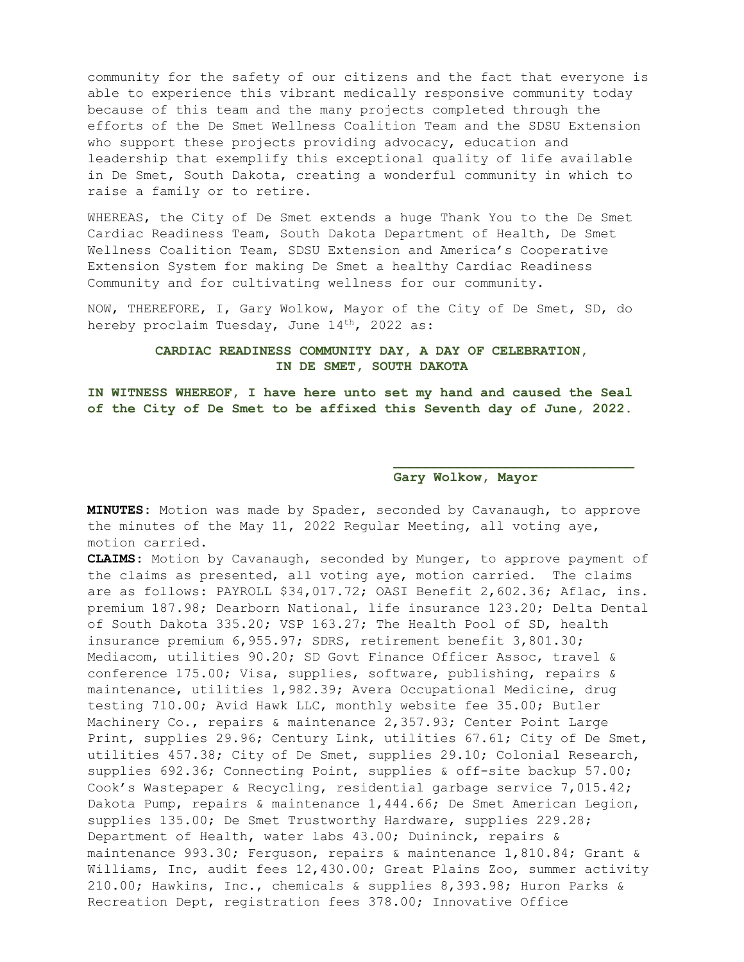community for the safety of our citizens and the fact that everyone is able to experience this vibrant medically responsive community today because of this team and the many projects completed through the efforts of the De Smet Wellness Coalition Team and the SDSU Extension who support these projects providing advocacy, education and leadership that exemplify this exceptional quality of life available in De Smet, South Dakota, creating a wonderful community in which to raise a family or to retire.

WHEREAS, the City of De Smet extends a huge Thank You to the De Smet Cardiac Readiness Team, South Dakota Department of Health, De Smet Wellness Coalition Team, SDSU Extension and America's Cooperative Extension System for making De Smet a healthy Cardiac Readiness Community and for cultivating wellness for our community.

NOW, THEREFORE, I, Gary Wolkow, Mayor of the City of De Smet, SD, do hereby proclaim Tuesday, June 14<sup>th</sup>, 2022 as:

### **CARDIAC READINESS COMMUNITY DAY, A DAY OF CELEBRATION, IN DE SMET, SOUTH DAKOTA**

**IN WITNESS WHEREOF, I have here unto set my hand and caused the Seal of the City of De Smet to be affixed this Seventh day of June, 2022.**

### **Gary Wolkow, Mayor**

**MINUTES:** Motion was made by Spader, seconded by Cavanaugh, to approve the minutes of the May 11, 2022 Regular Meeting, all voting aye, motion carried.

**CLAIMS:** Motion by Cavanaugh, seconded by Munger, to approve payment of the claims as presented, all voting aye, motion carried. The claims are as follows: PAYROLL \$34,017.72; OASI Benefit 2,602.36; Aflac, ins. premium 187.98; Dearborn National, life insurance 123.20; Delta Dental of South Dakota 335.20; VSP 163.27; The Health Pool of SD, health insurance premium 6,955.97; SDRS, retirement benefit 3,801.30; Mediacom, utilities 90.20; SD Govt Finance Officer Assoc, travel & conference 175.00; Visa, supplies, software, publishing, repairs & maintenance, utilities 1,982.39; Avera Occupational Medicine, drug testing 710.00; Avid Hawk LLC, monthly website fee 35.00; Butler Machinery Co., repairs & maintenance 2,357.93; Center Point Large Print, supplies 29.96; Century Link, utilities 67.61; City of De Smet, utilities 457.38; City of De Smet, supplies 29.10; Colonial Research, supplies 692.36; Connecting Point, supplies & off-site backup 57.00; Cook's Wastepaper & Recycling, residential garbage service 7,015.42; Dakota Pump, repairs & maintenance 1,444.66; De Smet American Legion, supplies 135.00; De Smet Trustworthy Hardware, supplies 229.28; Department of Health, water labs 43.00; Duininck, repairs & maintenance 993.30; Ferguson, repairs & maintenance 1,810.84; Grant & Williams, Inc, audit fees 12,430.00; Great Plains Zoo, summer activity 210.00; Hawkins, Inc., chemicals & supplies 8,393.98; Huron Parks & Recreation Dept, registration fees 378.00; Innovative Office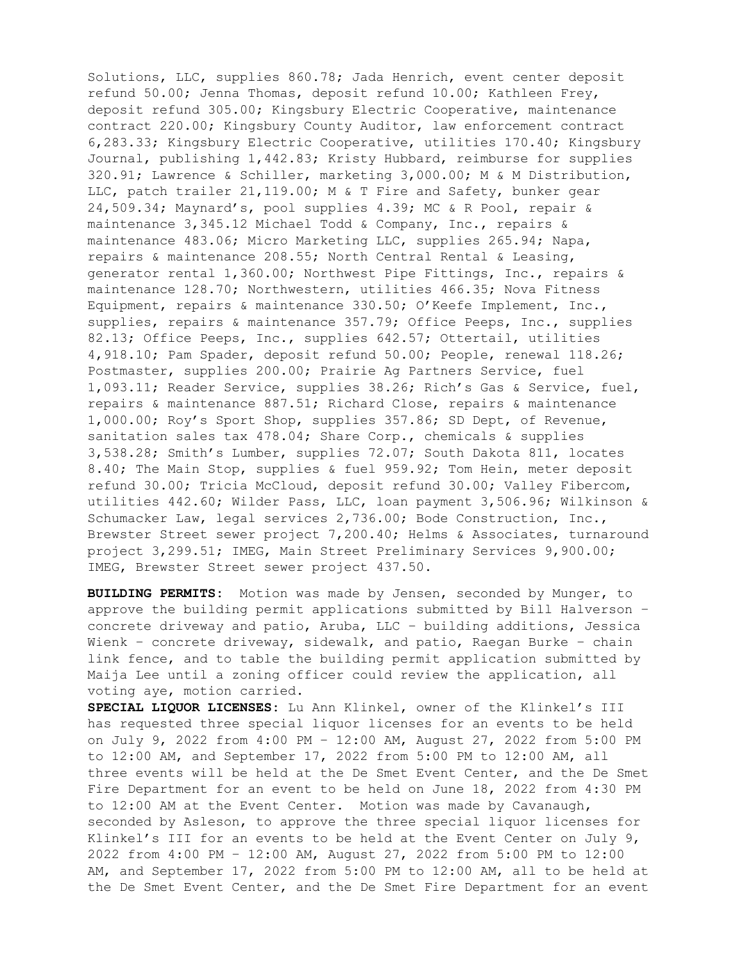Solutions, LLC, supplies 860.78; Jada Henrich, event center deposit refund 50.00; Jenna Thomas, deposit refund 10.00; Kathleen Frey, deposit refund 305.00; Kingsbury Electric Cooperative, maintenance contract 220.00; Kingsbury County Auditor, law enforcement contract 6,283.33; Kingsbury Electric Cooperative, utilities 170.40; Kingsbury Journal, publishing 1,442.83; Kristy Hubbard, reimburse for supplies 320.91; Lawrence & Schiller, marketing 3,000.00; M & M Distribution, LLC, patch trailer 21,119.00; M & T Fire and Safety, bunker gear 24,509.34; Maynard's, pool supplies 4.39; MC & R Pool, repair & maintenance 3,345.12 Michael Todd & Company, Inc., repairs & maintenance 483.06; Micro Marketing LLC, supplies 265.94; Napa, repairs & maintenance 208.55; North Central Rental & Leasing, generator rental 1,360.00; Northwest Pipe Fittings, Inc., repairs & maintenance 128.70; Northwestern, utilities 466.35; Nova Fitness Equipment, repairs & maintenance 330.50; O'Keefe Implement, Inc., supplies, repairs & maintenance 357.79; Office Peeps, Inc., supplies 82.13; Office Peeps, Inc., supplies 642.57; Ottertail, utilities 4,918.10; Pam Spader, deposit refund 50.00; People, renewal 118.26; Postmaster, supplies 200.00; Prairie Ag Partners Service, fuel 1,093.11; Reader Service, supplies 38.26; Rich's Gas & Service, fuel, repairs & maintenance 887.51; Richard Close, repairs & maintenance 1,000.00; Roy's Sport Shop, supplies 357.86; SD Dept, of Revenue, sanitation sales tax 478.04; Share Corp., chemicals & supplies 3,538.28; Smith's Lumber, supplies 72.07; South Dakota 811, locates 8.40; The Main Stop, supplies & fuel 959.92; Tom Hein, meter deposit refund 30.00; Tricia McCloud, deposit refund 30.00; Valley Fibercom, utilities 442.60; Wilder Pass, LLC, loan payment 3,506.96; Wilkinson & Schumacker Law, legal services 2,736.00; Bode Construction, Inc., Brewster Street sewer project 7,200.40; Helms & Associates, turnaround project 3,299.51; IMEG, Main Street Preliminary Services 9,900.00; IMEG, Brewster Street sewer project 437.50.

**BUILDING PERMITS:** Motion was made by Jensen, seconded by Munger, to approve the building permit applications submitted by Bill Halverson – concrete driveway and patio, Aruba, LLC – building additions, Jessica Wienk – concrete driveway, sidewalk, and patio, Raegan Burke – chain link fence, and to table the building permit application submitted by Maija Lee until a zoning officer could review the application, all voting aye, motion carried.

**SPECIAL LIQUOR LICENSES:** Lu Ann Klinkel, owner of the Klinkel's III has requested three special liquor licenses for an events to be held on July 9, 2022 from 4:00 PM – 12:00 AM, August 27, 2022 from 5:00 PM to 12:00 AM, and September 17, 2022 from 5:00 PM to 12:00 AM, all three events will be held at the De Smet Event Center, and the De Smet Fire Department for an event to be held on June 18, 2022 from 4:30 PM to 12:00 AM at the Event Center. Motion was made by Cavanaugh, seconded by Asleson, to approve the three special liquor licenses for Klinkel's III for an events to be held at the Event Center on July 9, 2022 from 4:00 PM – 12:00 AM, August 27, 2022 from 5:00 PM to 12:00 AM, and September 17, 2022 from 5:00 PM to 12:00 AM, all to be held at the De Smet Event Center, and the De Smet Fire Department for an event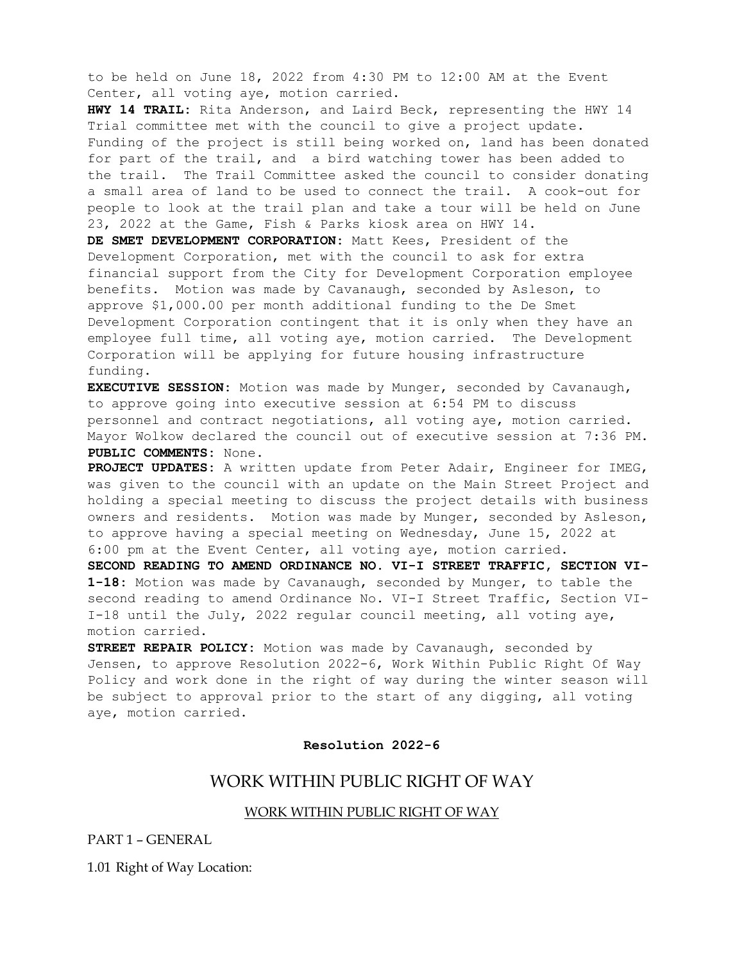to be held on June 18, 2022 from 4:30 PM to 12:00 AM at the Event Center, all voting aye, motion carried.

**HWY 14 TRAIL:** Rita Anderson, and Laird Beck, representing the HWY 14 Trial committee met with the council to give a project update. Funding of the project is still being worked on, land has been donated for part of the trail, and a bird watching tower has been added to the trail. The Trail Committee asked the council to consider donating a small area of land to be used to connect the trail. A cook-out for people to look at the trail plan and take a tour will be held on June 23, 2022 at the Game, Fish & Parks kiosk area on HWY 14.

**DE SMET DEVELOPMENT CORPORATION:** Matt Kees, President of the Development Corporation, met with the council to ask for extra financial support from the City for Development Corporation employee benefits. Motion was made by Cavanaugh, seconded by Asleson, to approve \$1,000.00 per month additional funding to the De Smet Development Corporation contingent that it is only when they have an employee full time, all voting aye, motion carried. The Development Corporation will be applying for future housing infrastructure funding.

**EXECUTIVE SESSION:** Motion was made by Munger, seconded by Cavanaugh, to approve going into executive session at 6:54 PM to discuss personnel and contract negotiations, all voting aye, motion carried. Mayor Wolkow declared the council out of executive session at 7:36 PM. **PUBLIC COMMENTS:** None.

**PROJECT UPDATES:** A written update from Peter Adair, Engineer for IMEG, was given to the council with an update on the Main Street Project and holding a special meeting to discuss the project details with business owners and residents. Motion was made by Munger, seconded by Asleson, to approve having a special meeting on Wednesday, June 15, 2022 at 6:00 pm at the Event Center, all voting aye, motion carried.

**SECOND READING TO AMEND ORDINANCE NO. VI-I STREET TRAFFIC, SECTION VI-1-18:** Motion was made by Cavanaugh, seconded by Munger, to table the second reading to amend Ordinance No. VI-I Street Traffic, Section VI-I-18 until the July, 2022 regular council meeting, all voting aye, motion carried.

**STREET REPAIR POLICY:** Motion was made by Cavanaugh, seconded by Jensen, to approve Resolution 2022-6, Work Within Public Right Of Way Policy and work done in the right of way during the winter season will be subject to approval prior to the start of any digging, all voting aye, motion carried.

#### **Resolution 2022-6**

## WORK WITHIN PUBLIC RIGHT OF WAY

#### WORK WITHIN PUBLIC RIGHT OF WAY

PART 1 – GENERAL

1.01 Right of Way Location: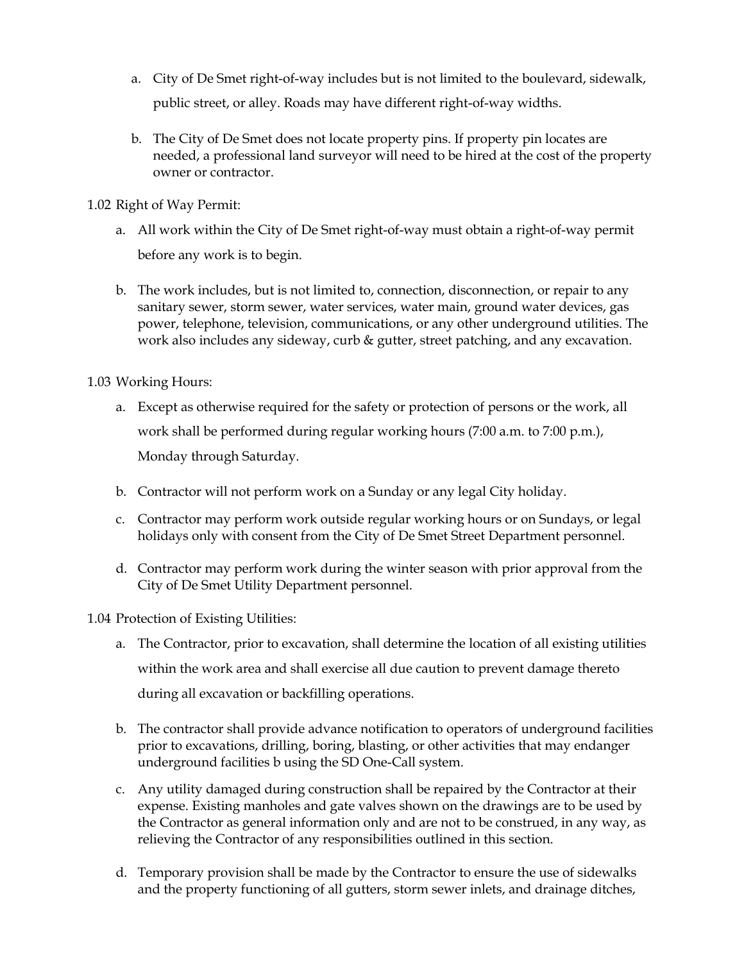- a. City of De Smet right-of-way includes but is not limited to the boulevard, sidewalk, public street, or alley. Roads may have different right-of-way widths.
- b. The City of De Smet does not locate property pins. If property pin locates are needed, a professional land surveyor will need to be hired at the cost of the property owner or contractor.

1.02 Right of Way Permit:

- a. All work within the City of De Smet right-of-way must obtain a right-of-way permit before any work is to begin.
- b. The work includes, but is not limited to, connection, disconnection, or repair to any sanitary sewer, storm sewer, water services, water main, ground water devices, gas power, telephone, television, communications, or any other underground utilities. The work also includes any sideway, curb & gutter, street patching, and any excavation.

1.03 Working Hours:

- a. Except as otherwise required for the safety or protection of persons or the work, all work shall be performed during regular working hours (7:00 a.m. to 7:00 p.m.), Monday through Saturday.
- b. Contractor will not perform work on a Sunday or any legal City holiday.
- c. Contractor may perform work outside regular working hours or on Sundays, or legal holidays only with consent from the City of De Smet Street Department personnel.
- d. Contractor may perform work during the winter season with prior approval from the City of De Smet Utility Department personnel.

1.04 Protection of Existing Utilities:

- a. The Contractor, prior to excavation, shall determine the location of all existing utilities within the work area and shall exercise all due caution to prevent damage thereto during all excavation or backfilling operations.
- b. The contractor shall provide advance notification to operators of underground facilities prior to excavations, drilling, boring, blasting, or other activities that may endanger underground facilities b using the SD One-Call system.
- c. Any utility damaged during construction shall be repaired by the Contractor at their expense. Existing manholes and gate valves shown on the drawings are to be used by the Contractor as general information only and are not to be construed, in any way, as relieving the Contractor of any responsibilities outlined in this section.
- d. Temporary provision shall be made by the Contractor to ensure the use of sidewalks and the property functioning of all gutters, storm sewer inlets, and drainage ditches,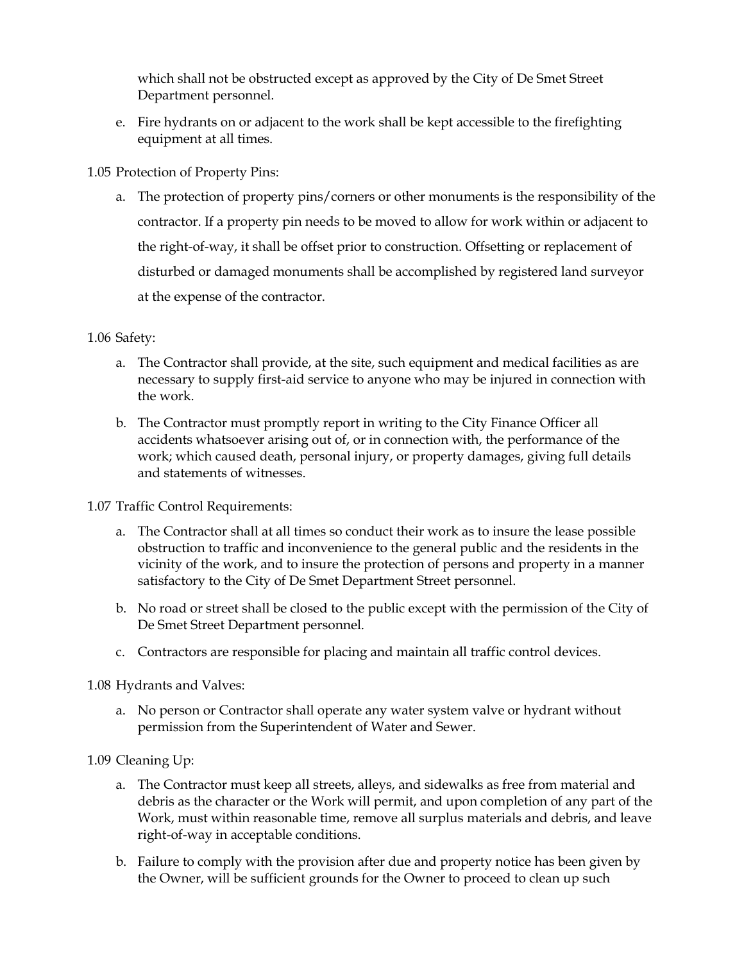which shall not be obstructed except as approved by the City of De Smet Street Department personnel.

e. Fire hydrants on or adjacent to the work shall be kept accessible to the firefighting equipment at all times.

1.05 Protection of Property Pins:

a. The protection of property pins/corners or other monuments is the responsibility of the contractor. If a property pin needs to be moved to allow for work within or adjacent to the right-of-way, it shall be offset prior to construction. Offsetting or replacement of disturbed or damaged monuments shall be accomplished by registered land surveyor at the expense of the contractor.

# 1.06 Safety:

- a. The Contractor shall provide, at the site, such equipment and medical facilities as are necessary to supply first-aid service to anyone who may be injured in connection with the work.
- b. The Contractor must promptly report in writing to the City Finance Officer all accidents whatsoever arising out of, or in connection with, the performance of the work; which caused death, personal injury, or property damages, giving full details and statements of witnesses.

## 1.07 Traffic Control Requirements:

- a. The Contractor shall at all times so conduct their work as to insure the lease possible obstruction to traffic and inconvenience to the general public and the residents in the vicinity of the work, and to insure the protection of persons and property in a manner satisfactory to the City of De Smet Department Street personnel.
- b. No road or street shall be closed to the public except with the permission of the City of De Smet Street Department personnel.
- c. Contractors are responsible for placing and maintain all traffic control devices.

# 1.08 Hydrants and Valves:

a. No person or Contractor shall operate any water system valve or hydrant without permission from the Superintendent of Water and Sewer.

# 1.09 Cleaning Up:

- a. The Contractor must keep all streets, alleys, and sidewalks as free from material and debris as the character or the Work will permit, and upon completion of any part of the Work, must within reasonable time, remove all surplus materials and debris, and leave right-of-way in acceptable conditions.
- b. Failure to comply with the provision after due and property notice has been given by the Owner, will be sufficient grounds for the Owner to proceed to clean up such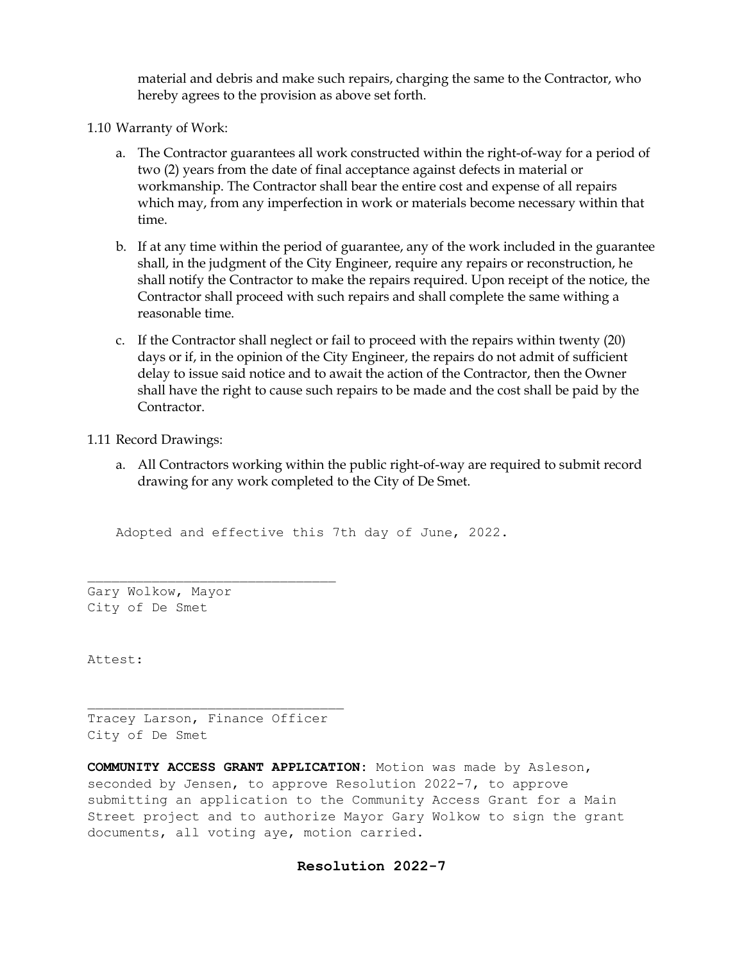material and debris and make such repairs, charging the same to the Contractor, who hereby agrees to the provision as above set forth.

1.10 Warranty of Work:

- a. The Contractor guarantees all work constructed within the right-of-way for a period of two (2) years from the date of final acceptance against defects in material or workmanship. The Contractor shall bear the entire cost and expense of all repairs which may, from any imperfection in work or materials become necessary within that time.
- b. If at any time within the period of guarantee, any of the work included in the guarantee shall, in the judgment of the City Engineer, require any repairs or reconstruction, he shall notify the Contractor to make the repairs required. Upon receipt of the notice, the Contractor shall proceed with such repairs and shall complete the same withing a reasonable time.
- c. If the Contractor shall neglect or fail to proceed with the repairs within twenty (20) days or if, in the opinion of the City Engineer, the repairs do not admit of sufficient delay to issue said notice and to await the action of the Contractor, then the Owner shall have the right to cause such repairs to be made and the cost shall be paid by the Contractor.

1.11 Record Drawings:

a. All Contractors working within the public right-of-way are required to submit record drawing for any work completed to the City of De Smet.

Adopted and effective this 7th day of June, 2022.

Gary Wolkow, Mayor City of De Smet

Attest:

Tracey Larson, Finance Officer City of De Smet

**COMMUNITY ACCESS GRANT APPLICATION:** Motion was made by Asleson, seconded by Jensen, to approve Resolution 2022-7, to approve submitting an application to the Community Access Grant for a Main Street project and to authorize Mayor Gary Wolkow to sign the grant documents, all voting aye, motion carried.

## **Resolution 2022-7**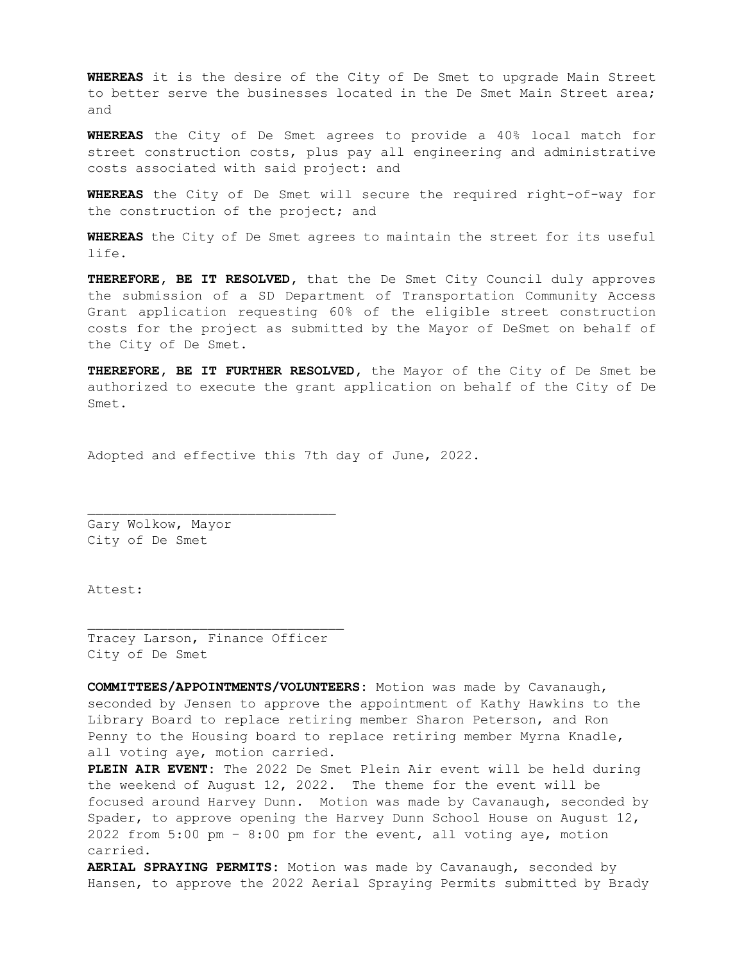**WHEREAS** it is the desire of the City of De Smet to upgrade Main Street to better serve the businesses located in the De Smet Main Street area; and

**WHEREAS** the City of De Smet agrees to provide a 40% local match for street construction costs, plus pay all engineering and administrative costs associated with said project: and

**WHEREAS** the City of De Smet will secure the required right-of-way for the construction of the project; and

**WHEREAS** the City of De Smet agrees to maintain the street for its useful life.

**THEREFORE, BE IT RESOLVED,** that the De Smet City Council duly approves the submission of a SD Department of Transportation Community Access Grant application requesting 60% of the eligible street construction costs for the project as submitted by the Mayor of DeSmet on behalf of the City of De Smet.

**THEREFORE, BE IT FURTHER RESOLVED,** the Mayor of the City of De Smet be authorized to execute the grant application on behalf of the City of De Smet.

Adopted and effective this 7th day of June, 2022.

Gary Wolkow, Mayor City of De Smet

Attest:

Tracey Larson, Finance Officer City of De Smet

**COMMITTEES/APPOINTMENTS/VOLUNTEERS:** Motion was made by Cavanaugh, seconded by Jensen to approve the appointment of Kathy Hawkins to the Library Board to replace retiring member Sharon Peterson, and Ron Penny to the Housing board to replace retiring member Myrna Knadle, all voting aye, motion carried.

**PLEIN AIR EVENT:** The 2022 De Smet Plein Air event will be held during the weekend of August 12, 2022. The theme for the event will be focused around Harvey Dunn. Motion was made by Cavanaugh, seconded by Spader, to approve opening the Harvey Dunn School House on August 12, 2022 from 5:00 pm – 8:00 pm for the event, all voting aye, motion carried.

**AERIAL SPRAYING PERMITS:** Motion was made by Cavanaugh, seconded by Hansen, to approve the 2022 Aerial Spraying Permits submitted by Brady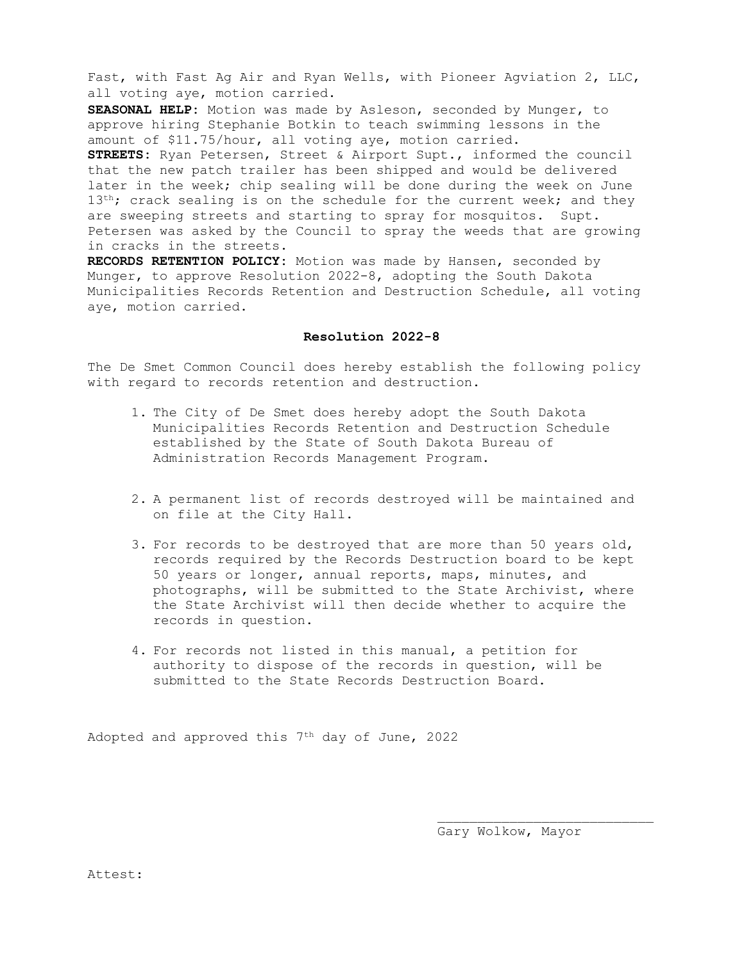Fast, with Fast Ag Air and Ryan Wells, with Pioneer Agviation 2, LLC, all voting aye, motion carried.

**SEASONAL HELP:** Motion was made by Asleson, seconded by Munger, to approve hiring Stephanie Botkin to teach swimming lessons in the amount of \$11.75/hour, all voting aye, motion carried. **STREETS:** Ryan Petersen, Street & Airport Supt., informed the council that the new patch trailer has been shipped and would be delivered later in the week; chip sealing will be done during the week on June 13<sup>th</sup>; crack sealing is on the schedule for the current week; and they are sweeping streets and starting to spray for mosquitos. Supt. Petersen was asked by the Council to spray the weeds that are growing in cracks in the streets.

**RECORDS RETENTION POLICY:** Motion was made by Hansen, seconded by Munger, to approve Resolution 2022-8, adopting the South Dakota Municipalities Records Retention and Destruction Schedule, all voting aye, motion carried.

#### **Resolution 2022-8**

The De Smet Common Council does hereby establish the following policy with regard to records retention and destruction.

- 1. The City of De Smet does hereby adopt the South Dakota Municipalities Records Retention and Destruction Schedule established by the State of South Dakota Bureau of Administration Records Management Program.
- 2. A permanent list of records destroyed will be maintained and on file at the City Hall.
- 3. For records to be destroyed that are more than 50 years old, records required by the Records Destruction board to be kept 50 years or longer, annual reports, maps, minutes, and photographs, will be submitted to the State Archivist, where the State Archivist will then decide whether to acquire the records in question.
- 4. For records not listed in this manual, a petition for authority to dispose of the records in question, will be submitted to the State Records Destruction Board.

Adopted and approved this 7<sup>th</sup> day of June, 2022

Gary Wolkow, Mayor